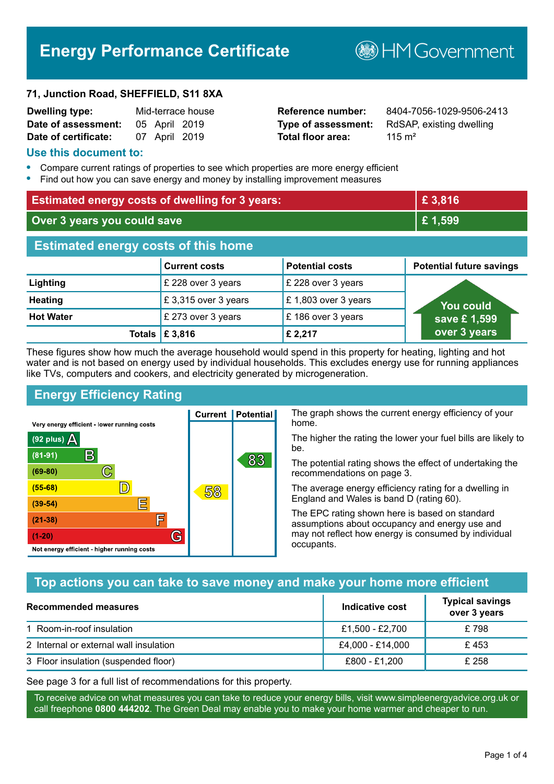# **Energy Performance Certificate**

#### **71, Junction Road, SHEFFIELD, S11 8XA**

| <b>Dwelling type:</b> |               | Mid-terrace house |
|-----------------------|---------------|-------------------|
| Date of assessment:   | 05 April 2019 |                   |
| Date of certificate:  | 07 April 2019 |                   |

# **Total floor area:** 115 m<sup>2</sup>

**Reference number:** 8404-7056-1029-9506-2413 **Type of assessment:** RdSAP, existing dwelling

**B**HMGovernment

#### **Use this document to:**

- **•** Compare current ratings of properties to see which properties are more energy efficient
- **•** Find out how you can save energy and money by installing improvement measures

| <b>Estimated energy costs of dwelling for 3 years:</b> |                           | £3,816                 |                                 |
|--------------------------------------------------------|---------------------------|------------------------|---------------------------------|
| Over 3 years you could save                            |                           | £1,599                 |                                 |
| <b>Estimated energy costs of this home</b>             |                           |                        |                                 |
|                                                        | <b>Current costs</b>      | <b>Potential costs</b> | <b>Potential future savings</b> |
| Lighting                                               | £ 228 over 3 years        | £ 228 over 3 years     |                                 |
| <b>Heating</b>                                         | £3,315 over 3 years       | £1,803 over 3 years    | <b>You could</b>                |
| <b>Hot Water</b>                                       | £ 273 over 3 years        | £186 over 3 years      | save £1,599                     |
|                                                        | Totals $\mathsf{E}$ 3,816 | £ 2,217                | over 3 years                    |

These figures show how much the average household would spend in this property for heating, lighting and hot water and is not based on energy used by individual households. This excludes energy use for running appliances like TVs, computers and cookers, and electricity generated by microgeneration.

**Current | Potential** 

58

# **Energy Efficiency Rating**

 $\mathbb{C}$ 

 $\mathbb{D}$ 

E

庐

G

Very energy efficient - lower running costs

R

Not energy efficient - higher running costs

(92 plus)  $\Delta$ 

 $(81 - 91)$ 

 $(69 - 80)$ 

 $(55-68)$ 

 $(39 - 54)$ 

 $(21-38)$ 

 $(1-20)$ 

The graph shows the current energy efficiency of your home.

The higher the rating the lower your fuel bills are likely to be.

The potential rating shows the effect of undertaking the recommendations on page 3.

The average energy efficiency rating for a dwelling in England and Wales is band D (rating 60).

The EPC rating shown here is based on standard assumptions about occupancy and energy use and may not reflect how energy is consumed by individual occupants.

# **Top actions you can take to save money and make your home more efficient**

83

| <b>Recommended measures</b>            | Indicative cost  | <b>Typical savings</b><br>over 3 years |
|----------------------------------------|------------------|----------------------------------------|
| 1 Room-in-roof insulation              | £1,500 - £2,700  | £798                                   |
| 2 Internal or external wall insulation | £4,000 - £14,000 | £453                                   |
| 3 Floor insulation (suspended floor)   | £800 - £1,200    | £ 258                                  |

See page 3 for a full list of recommendations for this property.

To receive advice on what measures you can take to reduce your energy bills, visit www.simpleenergyadvice.org.uk or call freephone **0800 444202**. The Green Deal may enable you to make your home warmer and cheaper to run.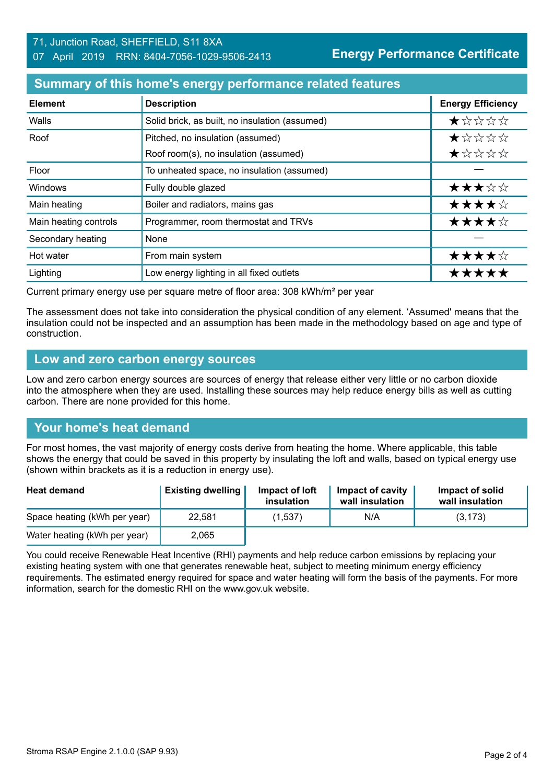#### 71, Junction Road, SHEFFIELD, S11 8XA 07 April 2019 RRN: 8404-7056-1029-9506-2413

**Energy Performance Certificate**

## **Summary of this home's energy performance related features**

| <b>Element</b>        | <b>Description</b>                             | <b>Energy Efficiency</b> |
|-----------------------|------------------------------------------------|--------------------------|
| Walls                 | Solid brick, as built, no insulation (assumed) | $\star$ * * * *          |
| Roof                  | Pitched, no insulation (assumed)               | *****                    |
|                       | Roof room(s), no insulation (assumed)          | ★☆☆☆☆                    |
| Floor                 | To unheated space, no insulation (assumed)     |                          |
| <b>Windows</b>        | Fully double glazed                            | ★★★☆☆                    |
| Main heating          | Boiler and radiators, mains gas                | ★★★★☆                    |
| Main heating controls | Programmer, room thermostat and TRVs           | ★★★★☆                    |
| Secondary heating     | None                                           |                          |
| Hot water             | From main system                               | ★★★★☆                    |
| Lighting              | Low energy lighting in all fixed outlets       | *****                    |

Current primary energy use per square metre of floor area: 308 kWh/m² per year

The assessment does not take into consideration the physical condition of any element. 'Assumed' means that the insulation could not be inspected and an assumption has been made in the methodology based on age and type of construction.

#### **Low and zero carbon energy sources**

Low and zero carbon energy sources are sources of energy that release either very little or no carbon dioxide into the atmosphere when they are used. Installing these sources may help reduce energy bills as well as cutting carbon. There are none provided for this home.

# **Your home's heat demand**

For most homes, the vast majority of energy costs derive from heating the home. Where applicable, this table shows the energy that could be saved in this property by insulating the loft and walls, based on typical energy use (shown within brackets as it is a reduction in energy use).

| <b>Heat demand</b>           | <b>Existing dwelling</b> | Impact of loft<br>insulation | Impact of cavity<br>wall insulation | Impact of solid<br>wall insulation |
|------------------------------|--------------------------|------------------------------|-------------------------------------|------------------------------------|
| Space heating (kWh per year) | 22.581                   | (1,537)                      | N/A                                 | (3, 173)                           |
| Water heating (kWh per year) | 2,065                    |                              |                                     |                                    |

You could receive Renewable Heat Incentive (RHI) payments and help reduce carbon emissions by replacing your existing heating system with one that generates renewable heat, subject to meeting minimum energy efficiency requirements. The estimated energy required for space and water heating will form the basis of the payments. For more information, search for the domestic RHI on the www.gov.uk website.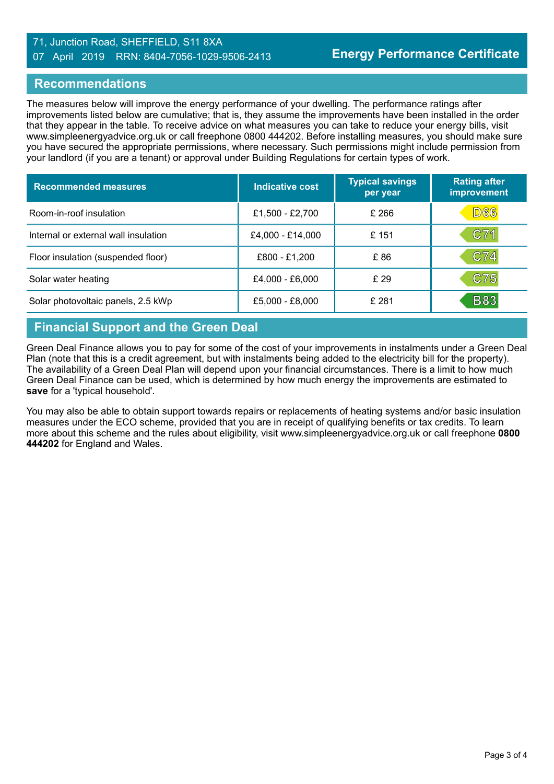#### 71, Junction Road, SHEFFIELD, S11 8XA 07 April 2019 RRN: 8404-7056-1029-9506-2413

## **Recommendations**

The measures below will improve the energy performance of your dwelling. The performance ratings after improvements listed below are cumulative; that is, they assume the improvements have been installed in the order that they appear in the table. To receive advice on what measures you can take to reduce your energy bills, visit www.simpleenergyadvice.org.uk or call freephone 0800 444202. Before installing measures, you should make sure you have secured the appropriate permissions, where necessary. Such permissions might include permission from your landlord (if you are a tenant) or approval under Building Regulations for certain types of work.

| <b>Recommended measures</b>          | Indicative cost  | <b>Typical savings</b><br>per year | <b>Rating after</b><br><b>improvement</b> |
|--------------------------------------|------------------|------------------------------------|-------------------------------------------|
| Room-in-roof insulation              | £1,500 - £2,700  | £266                               | D66                                       |
| Internal or external wall insulation | £4,000 - £14,000 | £151                               | C71                                       |
| Floor insulation (suspended floor)   | £800 - £1,200    | £86                                | C74                                       |
| Solar water heating                  | £4,000 - £6,000  | £29                                | C75                                       |
| Solar photovoltaic panels, 2.5 kWp   | £5,000 - £8,000  | £ 281                              | <b>B83</b>                                |

# **Financial Support and the Green Deal**

Green Deal Finance allows you to pay for some of the cost of your improvements in instalments under a Green Deal Plan (note that this is a credit agreement, but with instalments being added to the electricity bill for the property). The availability of a Green Deal Plan will depend upon your financial circumstances. There is a limit to how much Green Deal Finance can be used, which is determined by how much energy the improvements are estimated to **save** for a 'typical household'.

You may also be able to obtain support towards repairs or replacements of heating systems and/or basic insulation measures under the ECO scheme, provided that you are in receipt of qualifying benefits or tax credits. To learn more about this scheme and the rules about eligibility, visit www.simpleenergyadvice.org.uk or call freephone **0800 444202** for England and Wales.